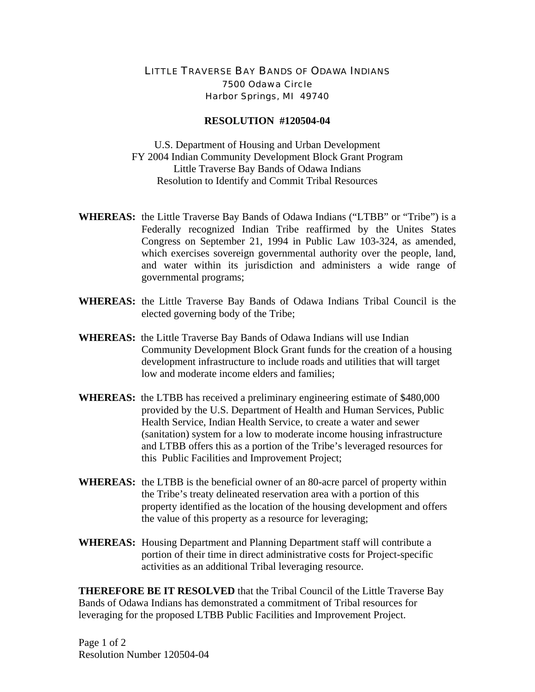## LITTLE TRAVERSE BAY BANDS OF ODAWA INDIANS 7500 Odawa Circle Harbor Springs, MI 49740

## **RESOLUTION #120504-04**

U.S. Department of Housing and Urban Development FY 2004 Indian Community Development Block Grant Program Little Traverse Bay Bands of Odawa Indians Resolution to Identify and Commit Tribal Resources

- **WHEREAS:** the Little Traverse Bay Bands of Odawa Indians ("LTBB" or "Tribe") is a Federally recognized Indian Tribe reaffirmed by the Unites States Congress on September 21, 1994 in Public Law 103-324, as amended, which exercises sovereign governmental authority over the people, land, and water within its jurisdiction and administers a wide range of governmental programs;
- **WHEREAS:** the Little Traverse Bay Bands of Odawa Indians Tribal Council is the elected governing body of the Tribe;
- **WHEREAS:** the Little Traverse Bay Bands of Odawa Indians will use Indian Community Development Block Grant funds for the creation of a housing development infrastructure to include roads and utilities that will target low and moderate income elders and families;
- **WHEREAS:** the LTBB has received a preliminary engineering estimate of \$480,000 provided by the U.S. Department of Health and Human Services, Public Health Service, Indian Health Service, to create a water and sewer (sanitation) system for a low to moderate income housing infrastructure and LTBB offers this as a portion of the Tribe's leveraged resources for this Public Facilities and Improvement Project;
- **WHEREAS:** the LTBB is the beneficial owner of an 80-acre parcel of property within the Tribe's treaty delineated reservation area with a portion of this property identified as the location of the housing development and offers the value of this property as a resource for leveraging;
- **WHEREAS:** Housing Department and Planning Department staff will contribute a portion of their time in direct administrative costs for Project-specific activities as an additional Tribal leveraging resource.

**THEREFORE BE IT RESOLVED** that the Tribal Council of the Little Traverse Bay Bands of Odawa Indians has demonstrated a commitment of Tribal resources for leveraging for the proposed LTBB Public Facilities and Improvement Project.

Page 1 of 2 Resolution Number 120504-04